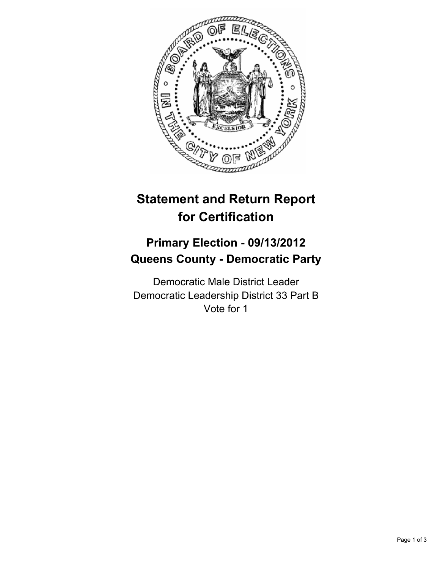

# **Statement and Return Report for Certification**

## **Primary Election - 09/13/2012 Queens County - Democratic Party**

Democratic Male District Leader Democratic Leadership District 33 Part B Vote for 1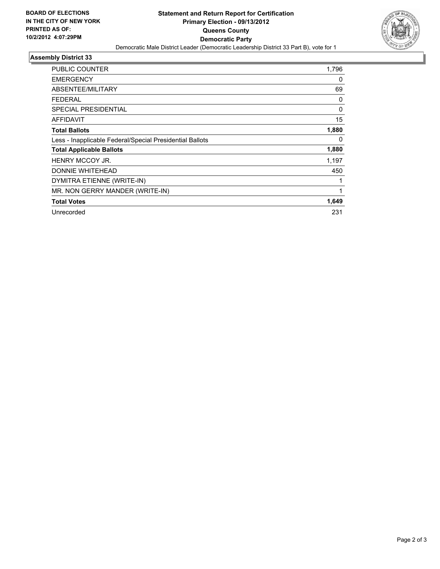

## **Assembly District 33**

| PUBLIC COUNTER                                           | 1,796    |
|----------------------------------------------------------|----------|
| <b>EMERGENCY</b>                                         | 0        |
| ABSENTEE/MILITARY                                        | 69       |
| FEDERAL                                                  | 0        |
| <b>SPECIAL PRESIDENTIAL</b>                              | $\Omega$ |
| <b>AFFIDAVIT</b>                                         | 15       |
| <b>Total Ballots</b>                                     | 1,880    |
| Less - Inapplicable Federal/Special Presidential Ballots | 0        |
| <b>Total Applicable Ballots</b>                          | 1,880    |
| <b>HENRY MCCOY JR.</b>                                   | 1,197    |
| DONNIE WHITEHEAD                                         | 450      |
| DYMITRA ETIENNE (WRITE-IN)                               |          |
| MR. NON GERRY MANDER (WRITE-IN)                          | 1        |
| <b>Total Votes</b>                                       | 1,649    |
| Unrecorded                                               | 231      |